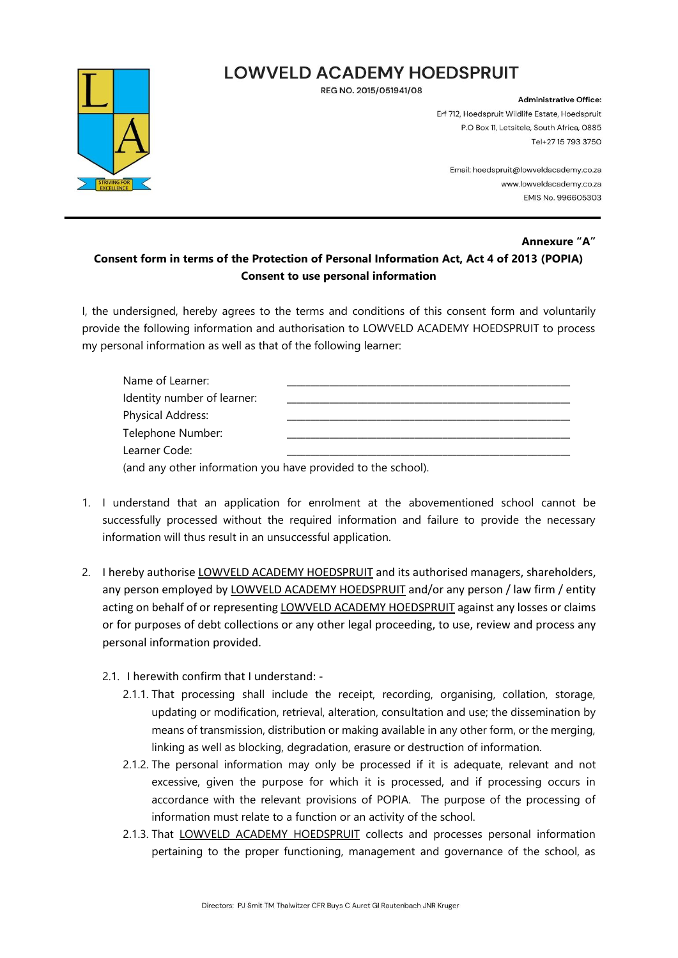### **LOWVELD ACADEMY HOEDSPRUIT**

REG NO. 2015/051941/08



**Administrative Office:** Erf 712, Hoedspruit Wildlife Estate, Hoedspruit P.O Box 11, Letsitele, South Africa, 0885 Tel+27 15 793 3750

> Email: hoedspruit@lowveldacademy.co.za www.lowyeldacademy.co.za **EMIS No. 996605303**

#### **Annexure "A" Consent form in terms of the Protection of Personal Information Act, Act 4 of 2013 (POPIA) Consent to use personal information**

I, the undersigned, hereby agrees to the terms and conditions of this consent form and voluntarily provide the following information and authorisation to LOWVELD ACADEMY HOEDSPRUIT to process my personal information as well as that of the following learner:

| Name of Learner:                                             |  |
|--------------------------------------------------------------|--|
| Identity number of learner:                                  |  |
| Physical Address:                                            |  |
| Telephone Number:                                            |  |
| Learner Code:                                                |  |
| (and any other information you have provided to the school). |  |

- 1. I understand that an application for enrolment at the abovementioned school cannot be successfully processed without the required information and failure to provide the necessary information will thus result in an unsuccessful application.
- 2. I hereby authorise LOWVELD ACADEMY HOEDSPRUIT and its authorised managers, shareholders, any person employed by LOWVELD ACADEMY HOEDSPRUIT and/or any person / law firm / entity acting on behalf of or representing LOWVELD ACADEMY HOEDSPRUIT against any losses or claims or for purposes of debt collections or any other legal proceeding, to use, review and process any personal information provided.
	- 2.1. I herewith confirm that I understand:
		- 2.1.1. That processing shall include the receipt, recording, organising, collation, storage, updating or modification, retrieval, alteration, consultation and use; the dissemination by means of transmission, distribution or making available in any other form, or the merging, linking as well as blocking, degradation, erasure or destruction of information.
		- 2.1.2. The personal information may only be processed if it is adequate, relevant and not excessive, given the purpose for which it is processed, and if processing occurs in accordance with the relevant provisions of POPIA. The purpose of the processing of information must relate to a function or an activity of the school.
		- 2.1.3. That LOWVELD ACADEMY HOEDSPRUIT collects and processes personal information pertaining to the proper functioning, management and governance of the school, as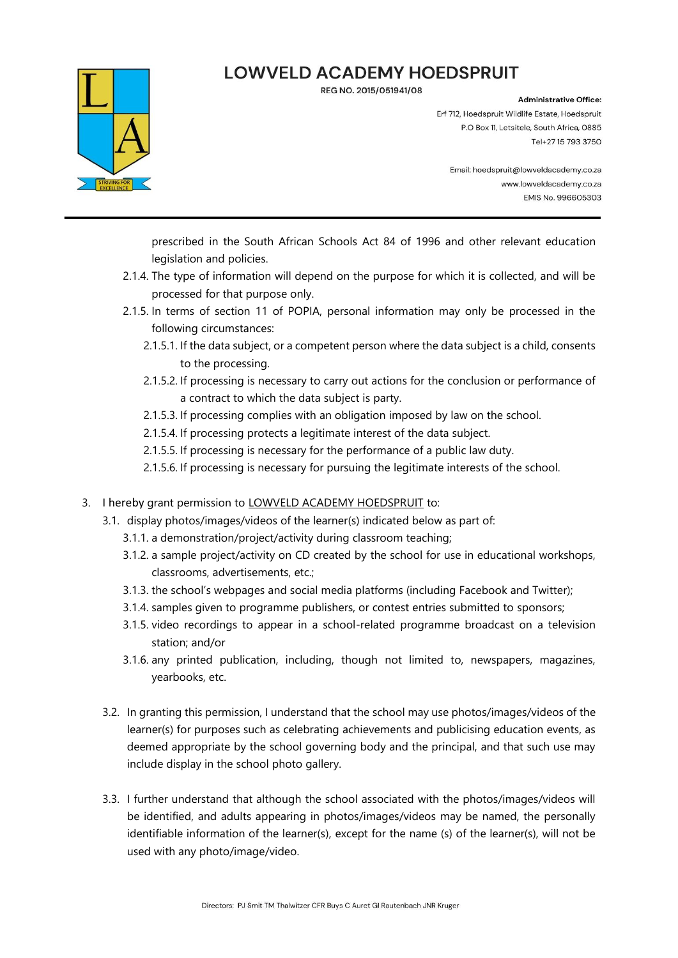# **LOWVELD ACADEMY HOEDSPRUIT**

REG NO. 2015/051941/08



#### **Administrative Office:**

Erf 712, Hoedspruit Wildlife Estate, Hoedspruit P.O Box 11, Letsitele, South Africa, 0885 Tel+27 15 793 3750

Email: hoedspruit@lowveldacademy.co.za www.lowyeldacademy.co.za **EMIS No. 996605303** 

prescribed in the South African Schools Act 84 of 1996 and other relevant education legislation and policies.

- 2.1.4. The type of information will depend on the purpose for which it is collected, and will be processed for that purpose only.
- 2.1.5. In terms of section 11 of POPIA, personal information may only be processed in the following circumstances:
	- 2.1.5.1. If the data subject, or a competent person where the data subject is a child, consents to the processing.
	- 2.1.5.2. If processing is necessary to carry out actions for the conclusion or performance of a contract to which the data subject is party.
	- 2.1.5.3. If processing complies with an obligation imposed by law on the school.
	- 2.1.5.4. If processing protects a legitimate interest of the data subject.
	- 2.1.5.5. If processing is necessary for the performance of a public law duty.
	- 2.1.5.6. If processing is necessary for pursuing the legitimate interests of the school.
- 3. I hereby grant permission to LOWVELD ACADEMY HOEDSPRUIT to:
	- 3.1. display photos/images/videos of the learner(s) indicated below as part of:
		- 3.1.1. a demonstration/project/activity during classroom teaching;
		- 3.1.2. a sample project/activity on CD created by the school for use in educational workshops, classrooms, advertisements, etc.;
		- 3.1.3. the school's webpages and social media platforms (including Facebook and Twitter);
		- 3.1.4. samples given to programme publishers, or contest entries submitted to sponsors;
		- 3.1.5. video recordings to appear in a school-related programme broadcast on a television station; and/or
		- 3.1.6. any printed publication, including, though not limited to, newspapers, magazines, yearbooks, etc.
	- 3.2. In granting this permission, I understand that the school may use photos/images/videos of the learner(s) for purposes such as celebrating achievements and publicising education events, as deemed appropriate by the school governing body and the principal, and that such use may include display in the school photo gallery.
	- 3.3. I further understand that although the school associated with the photos/images/videos will be identified, and adults appearing in photos/images/videos may be named, the personally identifiable information of the learner(s), except for the name (s) of the learner(s), will not be used with any photo/image/video.